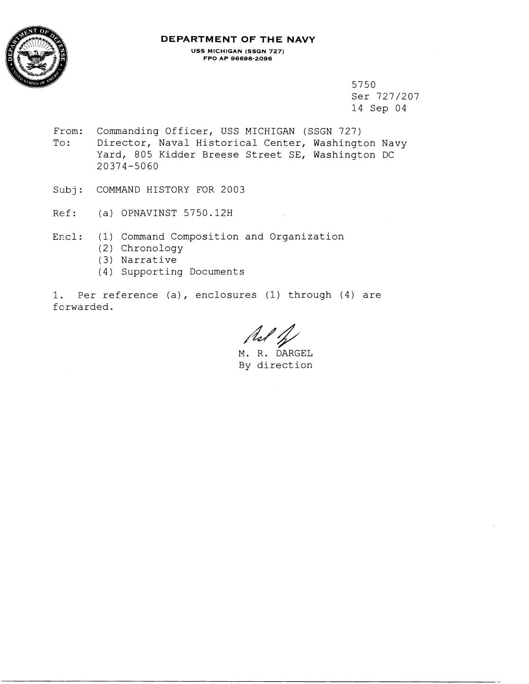

# **DEPARTMENT OF THE NAVY**

**USS MICHIGAN (SSGN 727) FPO AP 96696-2096** 

> 5750 Ser 727/207 14 Sep 04

From: Commanding Officer, USS MICHIGAN (SSGN 727) To: Director, Naval Historical Center, Washington Navy Yard, 805 Kidder Breese Street SE, Washington DC 20374-5060

Subj: COMMAND HISTORY FOR 2003

Ref: (a) OPNAVINST 5750.12H

Encl: (1) Command Composition and Organization

- (2) Chronology
- (3) Narrative
- (4) Supporting Documents

1. Per reference (a), enclosures (1) through (4) are forwarded.

Asl 1/2

M. R. DARGEL By direction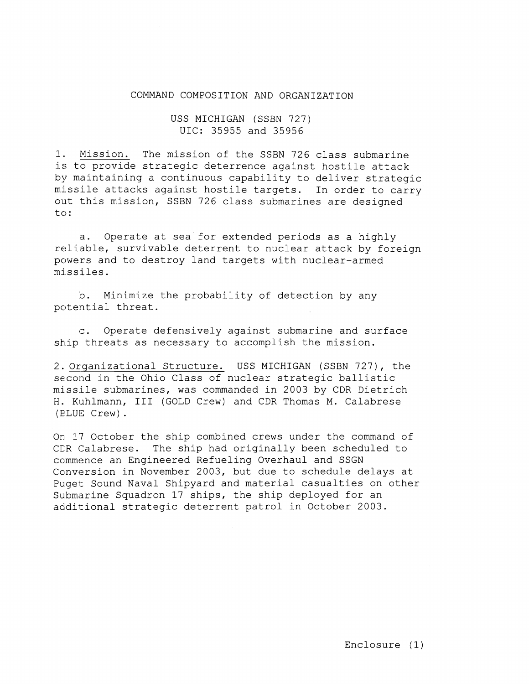#### COMMAND COMPOSITION AND ORGANIZATION

### USS MICHIGAN (SSBN 727) UIC: 35955 and 35956

1. Mission. The mission of the SSBN 726 class submarine is to provide strategic deterrence against hostile attack by maintaining a continuous capability to deliver strategic missile attacks against hostile targets. In order to carry out this mission, SSBN 726 class submarines are designed to :

a. Operate at sea for extended periods as a highly reliable, survivable deterrent to nuclear attack by foreign powers and to destroy land targets with nuclear-armed missiles.

b. Minimize the probability of detection by any potential threat.

c. Operate defensively against submarine and surface ship threats as necessary to accomplish the mission.

2. Organizational Structure. USS MICHIGAN (SSBN 727), the second in the Ohio Class of nuclear strategic ballistic missile submarines, was commanded in 2003 by CDR Dietrich H. Kuhlmann, I11 (GOLD Crew) and CDR Thomas M. Calabrese (BLUE Crew) .

On 17 October the ship combined crews under the command of CClR Calabrese. The ship had originally been scheduled to ccmmence an Engineered Refueling Overhaul and SSGN Conversion in November 2003, but due to schedule delays at Puget Sound Naval Shipyard and material casualties on other Submarine Squadron 17 ships, the ship deployed for an additional strategic deterrent patrol in October 2003.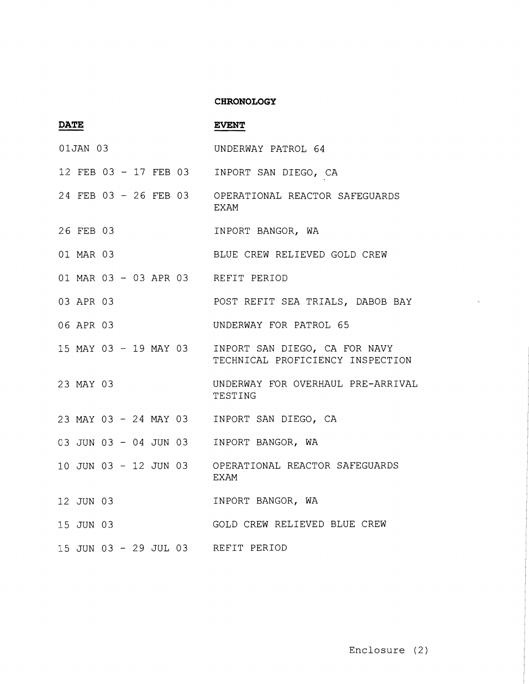#### **CHRONOLOGY**

| <b>DATE</b> |           |  |  |  |  |                       | <b>EVENT</b>                                                      |
|-------------|-----------|--|--|--|--|-----------------------|-------------------------------------------------------------------|
| 01JAN 03    |           |  |  |  |  |                       | UNDERWAY PATROL 64                                                |
|             |           |  |  |  |  | 12 FEB 03 - 17 FEB 03 | INPORT SAN DIEGO, CA                                              |
|             |           |  |  |  |  | 24 FEB 03 - 26 FEB 03 | OPERATIONAL REACTOR SAFEGUARDS<br>EXAM                            |
|             | 26 FEB 03 |  |  |  |  |                       | INPORT BANGOR, WA                                                 |
|             | 01 MAR 03 |  |  |  |  |                       | BLUE CREW RELIEVED GOLD CREW                                      |
|             |           |  |  |  |  |                       | 01 MAR 03 - 03 APR 03 REFIT PERIOD                                |
|             | 03 APR 03 |  |  |  |  |                       | POST REFIT SEA TRIALS, DABOB BAY                                  |
|             | 06 APR 03 |  |  |  |  |                       | UNDERWAY FOR PATROL 65                                            |
|             |           |  |  |  |  | 15 MAY 03 - 19 MAY 03 | INPORT SAN DIEGO, CA FOR NAVY<br>TECHNICAL PROFICIENCY INSPECTION |
|             | 23 MAY 03 |  |  |  |  |                       | UNDERWAY FOR OVERHAUL PRE-ARRIVAL<br>TESTING                      |
|             |           |  |  |  |  | 23 MAY 03 - 24 MAY 03 | INPORT SAN DIEGO, CA                                              |
|             |           |  |  |  |  | 03 JUN 03 - 04 JUN 03 | INPORT BANGOR, WA                                                 |
|             |           |  |  |  |  | 10 JUN 03 - 12 JUN 03 | OPERATIONAL REACTOR SAFEGUARDS<br><b>EXAM</b>                     |
|             | 12 JUN 03 |  |  |  |  |                       | INPORT BANGOR, WA                                                 |
|             | 15 JUN 03 |  |  |  |  |                       | GOLD CREW RELIEVED BLUE CREW                                      |
|             |           |  |  |  |  |                       | 15 JUN 03 - 29 JUL 03 REFIT PERIOD                                |

 $\hat{\zeta}$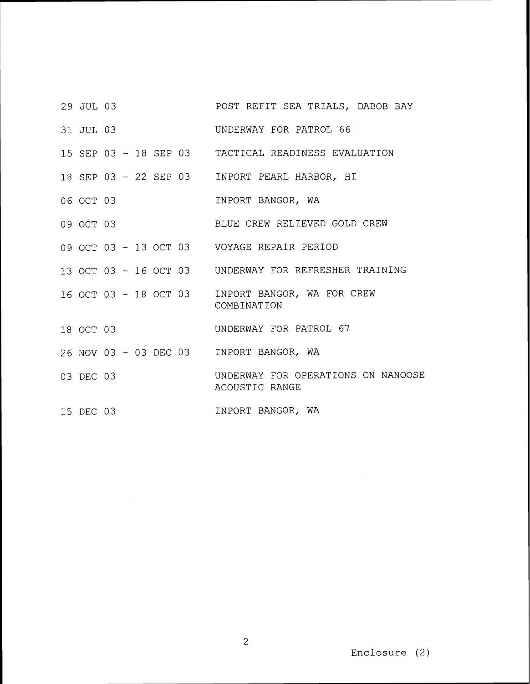- 29 JUL 03 POST REFIT SEA TRIALS, DABOB BAY
- 311 JUL 03 UNDERWAY FOR PATROL 66
- 15 SEP 03 18 SEP 03 TACTICAL READINESS EVALUATION
- 18 SEP 03 22 SEP 03 INPORT PEARL HARBOR, HI
- 06 OCT 03 INPORT BANGOR, WA
- 09 OCT 03 BLUE CREW RELIEVED GOLD CREW
- 09 OCT 03 13 OCT 03 VOYAGE REPAIR PERIOD
- 13 OCT 03 16 OCT 03 UNDERWAY FOR REFRESHER TRAINING
- 16 OCT 03 18 OCT 03 INPORT BANGOR, WA FOR CREW COMBINATION
- 18 OCT 03 UNDERWAY FOR PATROL 67
- 26 NOV 03 03 DEC 03 INPORT BANGOR, WA
- 03 DEC 03 UNDERWAY FOR OPERATIONS ON NANOOSE ACOUSTIC RANGE
- 15 DEC 03 INPORT BANGOR, WA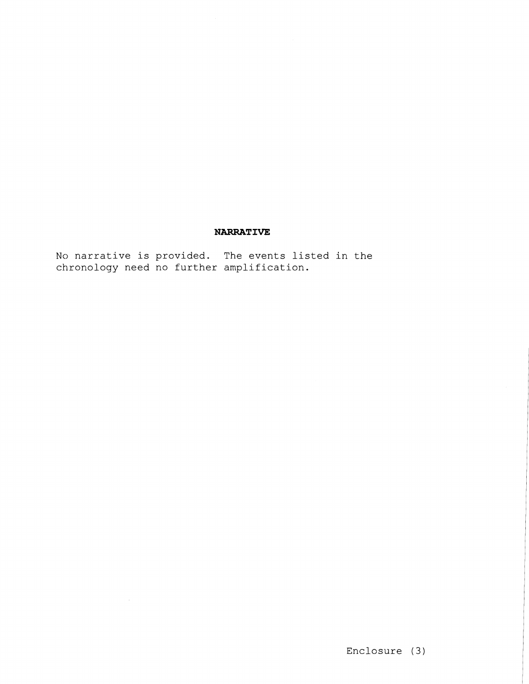## **NARRATIVE**

No narrative is provided. The events listed in the chronology need no further amplification.